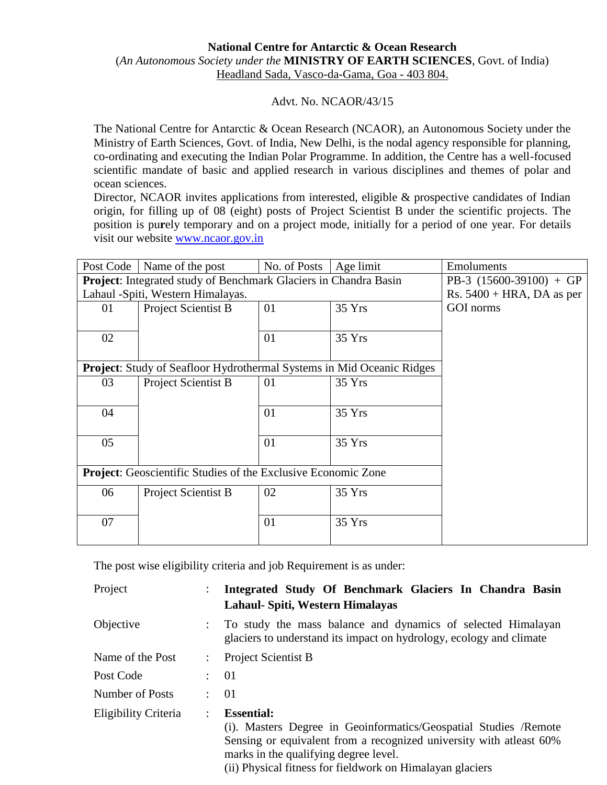## **National Centre for Antarctic & Ocean Research** (*An Autonomous Society under the* **MINISTRY OF EARTH SCIENCES**, Govt. of India) Headland Sada, Vasco-da-Gama, Goa - 403 804.

## Advt. No. NCAOR/43/15

The National Centre for Antarctic & Ocean Research (NCAOR), an Autonomous Society under the Ministry of Earth Sciences, Govt. of India, New Delhi, is the nodal agency responsible for planning, co-ordinating and executing the Indian Polar Programme. In addition, the Centre has a well-focused scientific mandate of basic and applied research in various disciplines and themes of polar and ocean sciences.

Director, NCAOR invites applications from interested, eligible & prospective candidates of Indian origin, for filling up of 08 (eight) posts of Project Scientist B under the scientific projects. The position is pu**r**ely temporary and on a project mode, initially for a period of one year. For details visit our website [www.ncaor.gov.in](http://www.ncaor.gov.in/)

| Post Code                                                            | Name of the post                                                             | No. of Posts                 | Age limit | Emoluments |  |  |  |  |
|----------------------------------------------------------------------|------------------------------------------------------------------------------|------------------------------|-----------|------------|--|--|--|--|
|                                                                      | <b>Project:</b> Integrated study of Benchmark Glaciers in Chandra Basin      | PB-3 $(15600-39100) + GP$    |           |            |  |  |  |  |
|                                                                      | Lahaul -Spiti, Western Himalayas.                                            | Rs. $5400 + HRA$ , DA as per |           |            |  |  |  |  |
| 01                                                                   | Project Scientist B                                                          | 01                           | 35 Yrs    | GOI norms  |  |  |  |  |
|                                                                      |                                                                              |                              |           |            |  |  |  |  |
| 02                                                                   |                                                                              | 01                           | 35Yrs     |            |  |  |  |  |
|                                                                      |                                                                              |                              |           |            |  |  |  |  |
|                                                                      | <b>Project:</b> Study of Seafloor Hydrothermal Systems in Mid Oceanic Ridges |                              |           |            |  |  |  |  |
| 03                                                                   | <b>Project Scientist B</b>                                                   | 01                           | 35Yrs     |            |  |  |  |  |
|                                                                      |                                                                              |                              |           |            |  |  |  |  |
| 04                                                                   |                                                                              | 01                           | 35Yrs     |            |  |  |  |  |
|                                                                      |                                                                              |                              |           |            |  |  |  |  |
| 05                                                                   |                                                                              | 01                           | 35 Yrs    |            |  |  |  |  |
|                                                                      |                                                                              |                              |           |            |  |  |  |  |
| <b>Project:</b> Geoscientific Studies of the Exclusive Economic Zone |                                                                              |                              |           |            |  |  |  |  |
|                                                                      |                                                                              |                              |           |            |  |  |  |  |
| 06                                                                   | Project Scientist B                                                          | 02                           | 35Yrs     |            |  |  |  |  |
|                                                                      |                                                                              |                              |           |            |  |  |  |  |
| 07                                                                   |                                                                              | 01                           | 35 Yrs    |            |  |  |  |  |
|                                                                      |                                                                              |                              |           |            |  |  |  |  |

The post wise eligibility criteria and job Requirement is as under:

| Project              |                      | Integrated Study Of Benchmark Glaciers In Chandra Basin<br>Lahaul- Spiti, Western Himalayas                                                                                                                                                                         |
|----------------------|----------------------|---------------------------------------------------------------------------------------------------------------------------------------------------------------------------------------------------------------------------------------------------------------------|
| Objective            |                      | To study the mass balance and dynamics of selected Himalayan<br>glaciers to understand its impact on hydrology, ecology and climate                                                                                                                                 |
| Name of the Post     |                      | <b>Project Scientist B</b>                                                                                                                                                                                                                                          |
| Post Code            |                      | $\colon$ 01                                                                                                                                                                                                                                                         |
| Number of Posts      | ٠                    | 01                                                                                                                                                                                                                                                                  |
| Eligibility Criteria | $\ddot{\phantom{0}}$ | <b>Essential:</b><br>(i). Masters Degree in Geoinformatics/Geospatial Studies /Remote<br>Sensing or equivalent from a recognized university with at least 60%<br>marks in the qualifying degree level.<br>(ii) Physical fitness for fieldwork on Himalayan glaciers |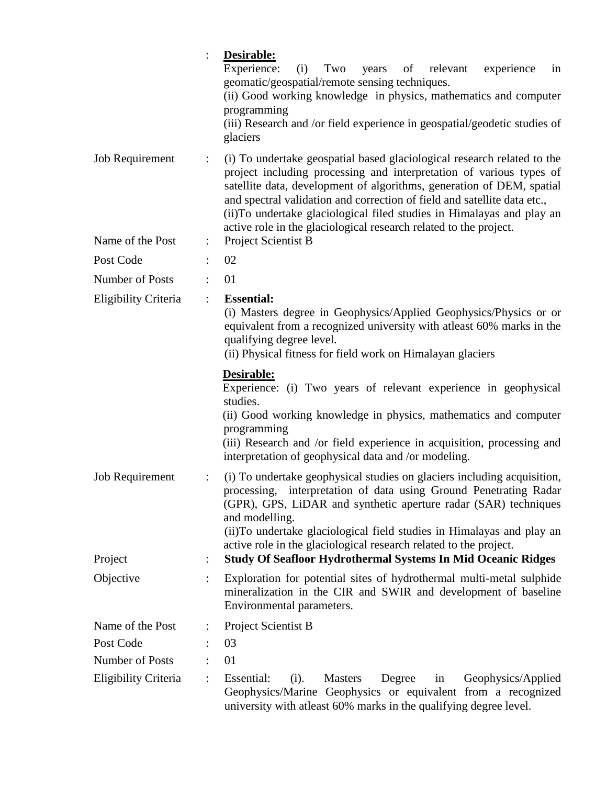|                                     | Desirable:<br>Experience:<br>(i)<br>Two<br>years<br>of relevant<br>experience<br>in<br>geomatic/geospatial/remote sensing techniques.<br>(ii) Good working knowledge in physics, mathematics and computer<br>programming<br>(iii) Research and /or field experience in geospatial/geodetic studies of<br>glaciers                                                                                                                                                                           |
|-------------------------------------|---------------------------------------------------------------------------------------------------------------------------------------------------------------------------------------------------------------------------------------------------------------------------------------------------------------------------------------------------------------------------------------------------------------------------------------------------------------------------------------------|
| Job Requirement<br>Name of the Post | (i) To undertake geospatial based glaciological research related to the<br>$\ddot{\cdot}$<br>project including processing and interpretation of various types of<br>satellite data, development of algorithms, generation of DEM, spatial<br>and spectral validation and correction of field and satellite data etc.,<br>(ii) To undertake glaciological filed studies in Himalayas and play an<br>active role in the glaciological research related to the project.<br>Project Scientist B |
|                                     | $\ddot{\cdot}$                                                                                                                                                                                                                                                                                                                                                                                                                                                                              |
| Post Code                           | 02                                                                                                                                                                                                                                                                                                                                                                                                                                                                                          |
| Number of Posts                     | 01                                                                                                                                                                                                                                                                                                                                                                                                                                                                                          |
| Eligibility Criteria                | <b>Essential:</b><br>$\ddot{\cdot}$<br>(i) Masters degree in Geophysics/Applied Geophysics/Physics or or<br>equivalent from a recognized university with atleast 60% marks in the<br>qualifying degree level.<br>(ii) Physical fitness for field work on Himalayan glaciers                                                                                                                                                                                                                 |
|                                     | Desirable:<br>Experience: (i) Two years of relevant experience in geophysical<br>studies.<br>(ii) Good working knowledge in physics, mathematics and computer<br>programming<br>(iii) Research and /or field experience in acquisition, processing and<br>interpretation of geophysical data and /or modeling.                                                                                                                                                                              |
| <b>Job Requirement</b>              | (i) To undertake geophysical studies on glaciers including acquisition,<br>$\ddot{\cdot}$<br>processing, interpretation of data using Ground Penetrating Radar<br>(GPR), GPS, LiDAR and synthetic aperture radar (SAR) techniques<br>and modelling.<br>(ii) To undertake glaciological field studies in Himalayas and play an                                                                                                                                                               |
| Project                             | active role in the glaciological research related to the project.<br><b>Study Of Seafloor Hydrothermal Systems In Mid Oceanic Ridges</b>                                                                                                                                                                                                                                                                                                                                                    |
| Objective                           | Exploration for potential sites of hydrothermal multi-metal sulphide<br>$\ddot{\cdot}$<br>mineralization in the CIR and SWIR and development of baseline<br>Environmental parameters.                                                                                                                                                                                                                                                                                                       |
| Name of the Post                    | Project Scientist B                                                                                                                                                                                                                                                                                                                                                                                                                                                                         |
| Post Code                           | 03                                                                                                                                                                                                                                                                                                                                                                                                                                                                                          |
| Number of Posts                     | 01                                                                                                                                                                                                                                                                                                                                                                                                                                                                                          |
| Eligibility Criteria                | Essential:<br><b>Masters</b><br>Degree<br>Geophysics/Applied<br>(i).<br>in<br>Geophysics/Marine Geophysics or equivalent from a recognized<br>university with atleast 60% marks in the qualifying degree level.                                                                                                                                                                                                                                                                             |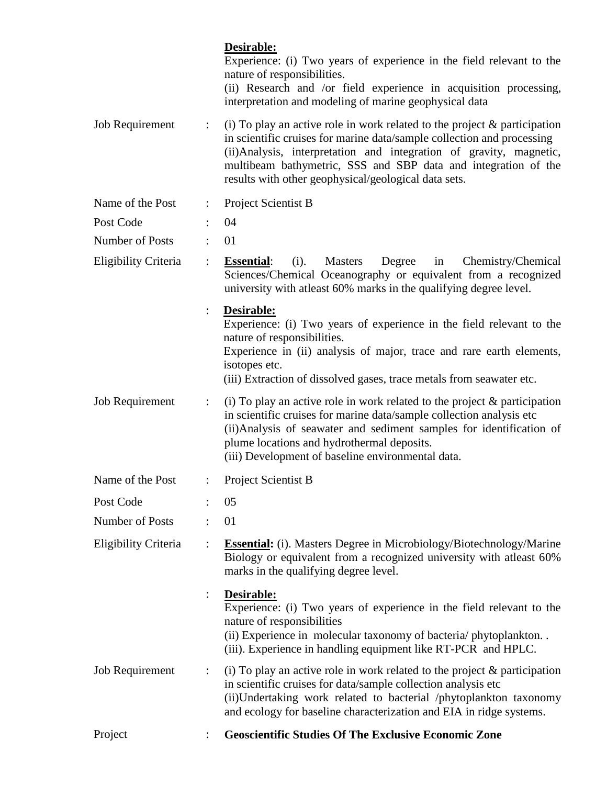|                        |                | Desirable:<br>Experience: (i) Two years of experience in the field relevant to the<br>nature of responsibilities.<br>(ii) Research and /or field experience in acquisition processing,<br>interpretation and modeling of marine geophysical data                                                                                                        |
|------------------------|----------------|---------------------------------------------------------------------------------------------------------------------------------------------------------------------------------------------------------------------------------------------------------------------------------------------------------------------------------------------------------|
| <b>Job Requirement</b> | $\ddot{\cdot}$ | (i) To play an active role in work related to the project $\&$ participation<br>in scientific cruises for marine data/sample collection and processing<br>(ii) Analysis, interpretation and integration of gravity, magnetic,<br>multibeam bathymetric, SSS and SBP data and integration of the<br>results with other geophysical/geological data sets. |
| Name of the Post       |                | Project Scientist B                                                                                                                                                                                                                                                                                                                                     |
| Post Code              |                | 04                                                                                                                                                                                                                                                                                                                                                      |
| Number of Posts        |                | 01                                                                                                                                                                                                                                                                                                                                                      |
| Eligibility Criteria   | $\ddot{\cdot}$ | $(i)$ .<br><b>Masters</b><br>Degree<br>Chemistry/Chemical<br><b>Essential:</b><br>in<br>Sciences/Chemical Oceanography or equivalent from a recognized<br>university with at least 60% marks in the qualifying degree level.                                                                                                                            |
|                        |                | Desirable:<br>Experience: (i) Two years of experience in the field relevant to the<br>nature of responsibilities.<br>Experience in (ii) analysis of major, trace and rare earth elements,<br>isotopes etc.<br>(iii) Extraction of dissolved gases, trace metals from seawater etc.                                                                      |
| <b>Job Requirement</b> | $\ddot{\cdot}$ | (i) To play an active role in work related to the project $\&$ participation<br>in scientific cruises for marine data/sample collection analysis etc<br>(ii) Analysis of seawater and sediment samples for identification of<br>plume locations and hydrothermal deposits.<br>(iii) Development of baseline environmental data.                         |
| Name of the Post       |                | Project Scientist B                                                                                                                                                                                                                                                                                                                                     |
| Post Code              |                | 05                                                                                                                                                                                                                                                                                                                                                      |
| Number of Posts        |                | 01                                                                                                                                                                                                                                                                                                                                                      |
| Eligibility Criteria   |                | <b>Essential:</b> (i). Masters Degree in Microbiology/Biotechnology/Marine<br>Biology or equivalent from a recognized university with atleast 60%<br>marks in the qualifying degree level.                                                                                                                                                              |
|                        | :              | Desirable:<br>Experience: (i) Two years of experience in the field relevant to the<br>nature of responsibilities<br>(ii) Experience in molecular taxonomy of bacteria/phytoplankton<br>(iii). Experience in handling equipment like RT-PCR and HPLC.                                                                                                    |
| <b>Job Requirement</b> | $\ddot{\cdot}$ | (i) To play an active role in work related to the project $\&$ participation<br>in scientific cruises for data/sample collection analysis etc<br>(ii)Undertaking work related to bacterial /phytoplankton taxonomy<br>and ecology for baseline characterization and EIA in ridge systems.                                                               |
| Project                |                | <b>Geoscientific Studies Of The Exclusive Economic Zone</b>                                                                                                                                                                                                                                                                                             |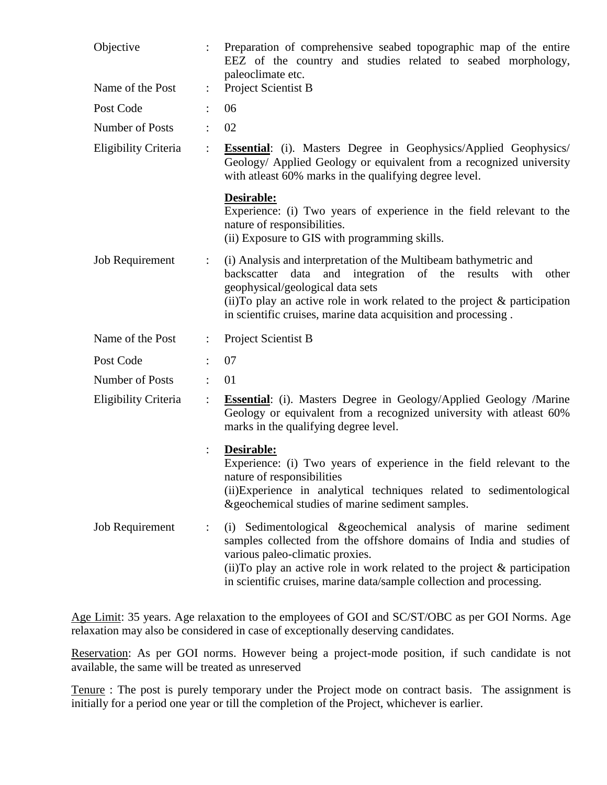| Objective              |                      | Preparation of comprehensive seabed topographic map of the entire<br>EEZ of the country and studies related to seabed morphology,<br>paleoclimate etc.                                                                                                                                                                            |
|------------------------|----------------------|-----------------------------------------------------------------------------------------------------------------------------------------------------------------------------------------------------------------------------------------------------------------------------------------------------------------------------------|
| Name of the Post       | $\ddot{\phantom{a}}$ | Project Scientist B                                                                                                                                                                                                                                                                                                               |
| Post Code              |                      | 06                                                                                                                                                                                                                                                                                                                                |
| Number of Posts        |                      | 02                                                                                                                                                                                                                                                                                                                                |
| Eligibility Criteria   | $\ddot{\cdot}$       | Essential: (i). Masters Degree in Geophysics/Applied Geophysics/<br>Geology/ Applied Geology or equivalent from a recognized university<br>with at least 60% marks in the qualifying degree level.                                                                                                                                |
|                        |                      | Desirable:<br>Experience: (i) Two years of experience in the field relevant to the<br>nature of responsibilities.<br>(ii) Exposure to GIS with programming skills.                                                                                                                                                                |
| <b>Job Requirement</b> | $\ddot{\cdot}$       | (i) Analysis and interpretation of the Multibeam bathymetric and<br>data and integration of the results<br>backscatter<br>with<br>other<br>geophysical/geological data sets<br>(ii) To play an active role in work related to the project $\&$ participation<br>in scientific cruises, marine data acquisition and processing.    |
| Name of the Post       |                      | Project Scientist B                                                                                                                                                                                                                                                                                                               |
| Post Code              |                      | 07                                                                                                                                                                                                                                                                                                                                |
| Number of Posts        | $\ddot{\cdot}$       | 01                                                                                                                                                                                                                                                                                                                                |
| Eligibility Criteria   | $\ddot{\cdot}$       | <b>Essential:</b> (i). Masters Degree in Geology/Applied Geology /Marine<br>Geology or equivalent from a recognized university with atleast 60%<br>marks in the qualifying degree level.                                                                                                                                          |
|                        |                      | Desirable:<br>Experience: (i) Two years of experience in the field relevant to the<br>nature of responsibilities<br>(ii) Experience in analytical techniques related to sedimentological<br>& geochemical studies of marine sediment samples.                                                                                     |
| <b>Job Requirement</b> | $\vdots$             | (i) Sedimentological & geochemical analysis of marine sediment<br>samples collected from the offshore domains of India and studies of<br>various paleo-climatic proxies.<br>(ii) To play an active role in work related to the project $\&$ participation<br>in scientific cruises, marine data/sample collection and processing. |

Age Limit: 35 years. Age relaxation to the employees of GOI and SC/ST/OBC as per GOI Norms. Age relaxation may also be considered in case of exceptionally deserving candidates.

Reservation: As per GOI norms. However being a project-mode position, if such candidate is not available, the same will be treated as unreserved

Tenure : The post is purely temporary under the Project mode on contract basis. The assignment is initially for a period one year or till the completion of the Project, whichever is earlier.